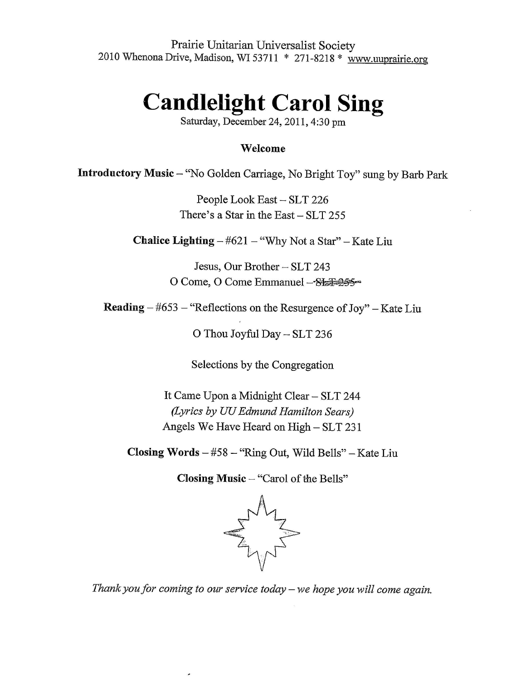Prairie Unitarian Universalist Society 2010 WhenonaDrive, Madison, WI 53711 \* 271-8218 \* www.uuprairie.org

## **Candlelight Carol Sing**

Saturday, December 24, 2011, 4:30 pm

## **Welcome**

**Introductory Music -** "No Golden Carriage, No Bright Toy" sung by Barb Park

People Look East - SLT 226 There's a Star in the East- SLT 255

**Chalice Lighting-#621 -** "Why Not a Star" -Kate Liu

Jesus, Our Brother- SLT 243 0 Come, O Come Emmanuel -- SEE=255-

**Reading -** #653 - "Reflections on the Resurgence of Joy" - Kate Liu

0 Thou Joyful Day - SLT 236

Selections by the Congregation

It Came Upon a Midnight Clear - SLT 244 *(Lyrics by UU Edmund Hamilton Sears)*  Angels We Have Heard on High - SLT 231

**Closing Words -** #58 - "Ring Out, Wild Bells" -Kate Liu

**Closing Music -** "Carol of the Bells"



*Thank you for coming to our service today- we hope you will come again.*